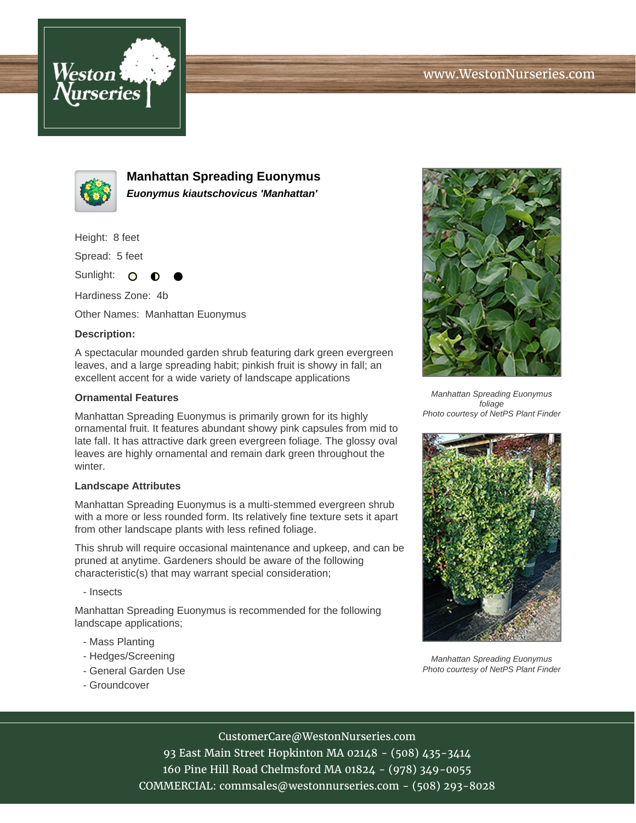



**Manhattan Spreading Euonymus Euonymus kiautschovicus 'Manhattan'**

Height: 8 feet

Spread: 5 feet

Sunlight: O

Hardiness Zone: 4b

Other Names: Manhattan Euonymus

## **Description:**

A spectacular mounded garden shrub featuring dark green evergreen leaves, and a large spreading habit; pinkish fruit is showy in fall; an excellent accent for a wide variety of landscape applications

## **Ornamental Features**

Manhattan Spreading Euonymus is primarily grown for its highly ornamental fruit. It features abundant showy pink capsules from mid to late fall. It has attractive dark green evergreen foliage. The glossy oval leaves are highly ornamental and remain dark green throughout the winter.

## **Landscape Attributes**

Manhattan Spreading Euonymus is a multi-stemmed evergreen shrub with a more or less rounded form. Its relatively fine texture sets it apart from other landscape plants with less refined foliage.

This shrub will require occasional maintenance and upkeep, and can be pruned at anytime. Gardeners should be aware of the following characteristic(s) that may warrant special consideration;

- Insects

Manhattan Spreading Euonymus is recommended for the following landscape applications;

- Mass Planting
- Hedges/Screening
- General Garden Use
- Groundcover



Manhattan Spreading Euonymus foliage Photo courtesy of NetPS Plant Finder



Manhattan Spreading Euonymus Photo courtesy of NetPS Plant Finder

CustomerCare@WestonNurseries.com

93 East Main Street Hopkinton MA 02148 - (508) 435-3414 160 Pine Hill Road Chelmsford MA 01824 - (978) 349-0055 COMMERCIAL: commsales@westonnurseries.com - (508) 293-8028